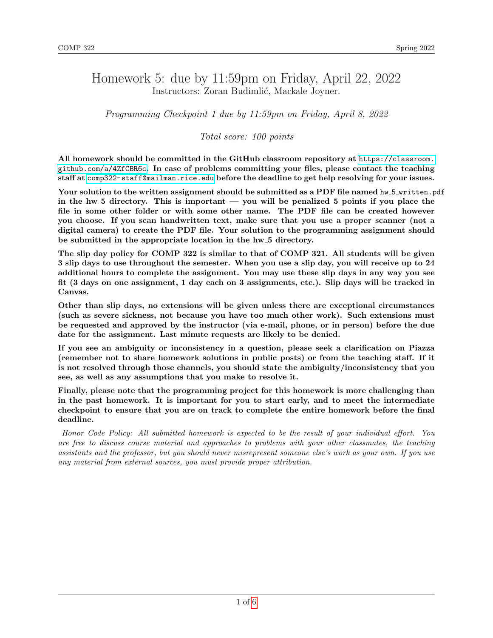### Homework 5: due by 11:59pm on Friday, April 22, 2022 Instructors: Zoran Budimlić, Mackale Joyner.

Programming Checkpoint 1 due by 11:59pm on Friday, April 8, 2022

Total score: 100 points

All homework should be committed in the GitHub classroom repository at [https://classroom.](https://classroom.github.com/a/4ZfCBR6c) [github.com/a/4ZfCBR6c](https://classroom.github.com/a/4ZfCBR6c). In case of problems committing your files, please contact the teaching staff at <comp322-staff@mailman.rice.edu> before the deadline to get help resolving for your issues.

Your solution to the written assignment should be submitted as a PDF file named hw\_5\_written.pdf in the hw<sub>-5</sub> directory. This is important — you will be penalized 5 points if you place the file in some other folder or with some other name. The PDF file can be created however you choose. If you scan handwritten text, make sure that you use a proper scanner (not a digital camera) to create the PDF file. Your solution to the programming assignment should be submitted in the appropriate location in the hw<sub>-5</sub> directory.

The slip day policy for COMP 322 is similar to that of COMP 321. All students will be given 3 slip days to use throughout the semester. When you use a slip day, you will receive up to 24 additional hours to complete the assignment. You may use these slip days in any way you see fit (3 days on one assignment, 1 day each on 3 assignments, etc.). Slip days will be tracked in Canvas.

Other than slip days, no extensions will be given unless there are exceptional circumstances (such as severe sickness, not because you have too much other work). Such extensions must be requested and approved by the instructor (via e-mail, phone, or in person) before the due date for the assignment. Last minute requests are likely to be denied.

If you see an ambiguity or inconsistency in a question, please seek a clarification on Piazza (remember not to share homework solutions in public posts) or from the teaching staff. If it is not resolved through those channels, you should state the ambiguity/inconsistency that you see, as well as any assumptions that you make to resolve it.

Finally, please note that the programming project for this homework is more challenging than in the past homework. It is important for you to start early, and to meet the intermediate checkpoint to ensure that you are on track to complete the entire homework before the final deadline.

Honor Code Policy: All submitted homework is expected to be the result of your individual effort. You are free to discuss course material and approaches to problems with your other classmates, the teaching assistants and the professor, but you should never misrepresent someone else's work as your own. If you use any material from external sources, you must provide proper attribution.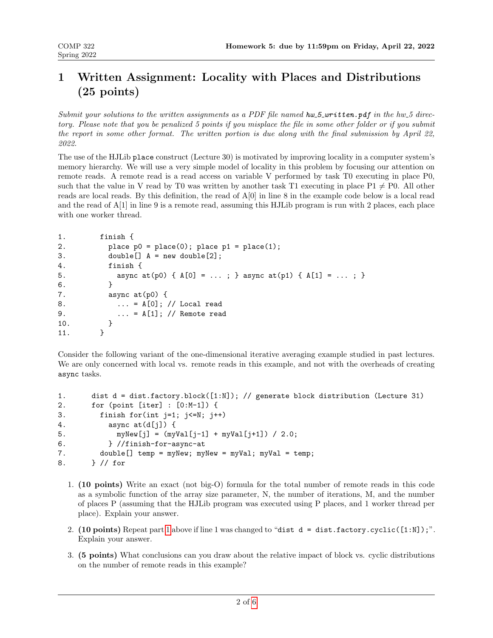# 1 Written Assignment: Locality with Places and Distributions (25 points)

Submit your solutions to the written assignments as a PDF file named  $hw_2$ -written.pdf in the hw 5 directory. Please note that you be penalized 5 points if you misplace the file in some other folder or if you submit the report in some other format. The written portion is due along with the final submission by April 22, 2022.

The use of the HJLib place construct (Lecture 30) is motivated by improving locality in a computer system's memory hierarchy. We will use a very simple model of locality in this problem by focusing our attention on remote reads. A remote read is a read access on variable V performed by task T0 executing in place P0, such that the value in V read by T0 was written by another task T1 executing in place  $P1 \neq P0$ . All other reads are local reads. By this definition, the read of A[0] in line 8 in the example code below is a local read and the read of A[1] in line 9 is a remote read, assuming this HJLib program is run with 2 places, each place with one worker thread.

```
1. finish {
2. \n  <i>place p0 = place(0)</i>; place <math>p1 = place(1)</math>;3. double[] A = new double[2];
4. finish {
5. async at(p0) { A[0] = ...; } async at(p1) { A[1] = ...; }
6. }
7. async at(p0) {
8. ... = A[0]; // Local read
9. ... = A[1]; // Remote read 10.
10<sub>1</sub>11. }
```
Consider the following variant of the one-dimensional iterative averaging example studied in past lectures. We are only concerned with local vs. remote reads in this example, and not with the overheads of creating async tasks.

```
1. dist d = dist.factory.block([1:N]); // generate block distribution (Lecture 31)
2. for (point [iter] : [0:M-1]) {
3. finish for(int j=1; j<=N; j++)
4. \qquad \qquad \text{async at(d[j]) } \{5. myNew[j] = (myVal[j-1] + myVal[j+1]) / 2.0;6. } //finish-for-async-at
7. double[] temp = myNew; myNew = myVal; myVal = temp;
8. } // for
```
- <span id="page-1-0"></span>1. (10 points) Write an exact (not big-O) formula for the total number of remote reads in this code as a symbolic function of the array size parameter, N, the number of iterations, M, and the number of places P (assuming that the HJLib program was executed using P places, and 1 worker thread per place). Explain your answer.
- 2. (10 points) Repeat part [1](#page-1-0) above if line 1 was changed to "dist  $d = dist.factory.cyclic([1:N])$ ". Explain your answer.
- 3. (5 points) What conclusions can you draw about the relative impact of block vs. cyclic distributions on the number of remote reads in this example?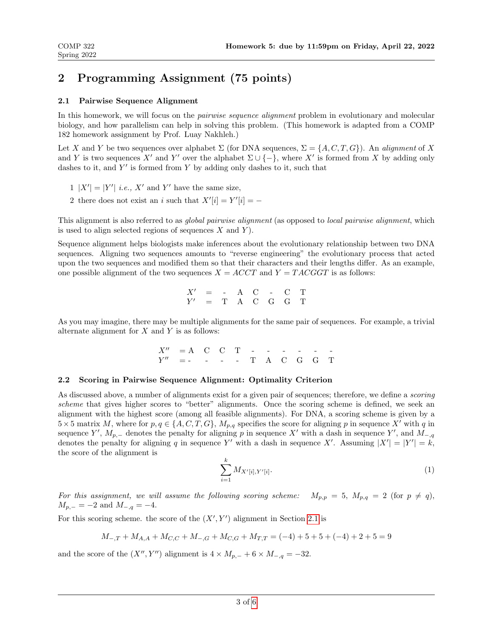## 2 Programming Assignment (75 points)

#### <span id="page-2-0"></span>2.1 Pairwise Sequence Alignment

In this homework, we will focus on the *pairwise sequence alignment* problem in evolutionary and molecular biology, and how parallelism can help in solving this problem. (This homework is adapted from a COMP 182 homework assignment by Prof. Luay Nakhleh.)

Let X and Y be two sequences over alphabet  $\Sigma$  (for DNA sequences,  $\Sigma = \{A, C, T, G\}$ ). An alignment of X and Y is two sequences X' and Y' over the alphabet  $\Sigma \cup \{-\}$ , where X' is formed from X by adding only dashes to it, and  $Y'$  is formed from Y by adding only dashes to it, such that

- $1 |X'| = |Y'|$  *i.e.*, X' and Y' have the same size,
- 2 there does not exist an i such that  $X'[i] = Y'[i] = -$

This alignment is also referred to as global pairwise alignment (as opposed to local pairwise alignment, which is used to align selected regions of sequences  $X$  and  $Y$ ).

Sequence alignment helps biologists make inferences about the evolutionary relationship between two DNA sequences. Aligning two sequences amounts to "reverse engineering" the evolutionary process that acted upon the two sequences and modified them so that their characters and their lengths differ. As an example, one possible alignment of the two sequences  $X = ACCT$  and  $Y = TACGGT$  is as follows:

$$
\begin{array}{ccccccccc}\nX' & = & - & A & C & - & C & T \\
Y' & = & T & A & C & G & G & T\n\end{array}
$$

As you may imagine, there may be multiple alignments for the same pair of sequences. For example, a trivial alternate alignment for  $X$  and  $Y$  is as follows:

> $X'' = A \quad C \quad C \quad T \quad - \quad - \quad - \quad - \quad Y''$  = - - - - T A C G G T

#### 2.2 Scoring in Pairwise Sequence Alignment: Optimality Criterion

As discussed above, a number of alignments exist for a given pair of sequences; therefore, we define a *scoring* scheme that gives higher scores to "better" alignments. Once the scoring scheme is defined, we seek an alignment with the highest score (among all feasible alignments). For DNA, a scoring scheme is given by a  $5\times 5$  matrix M, where for  $p, q \in \{A, C, T, G\}$ ,  $M_{p,q}$  specifies the score for aligning p in sequence X' with q in sequence Y',  $M_{p,-}$  denotes the penalty for aligning p in sequence X' with a dash in sequence Y', and  $M_{-,q}$ denotes the penalty for aligning q in sequence Y' with a dash in sequence X'. Assuming  $|X'| = |Y'| = k$ , the score of the alignment is

$$
\sum_{i=1}^{k} M_{X'[i], Y'[i]}.\tag{1}
$$

For this assignment, we will assume the following scoring scheme:  $M_{p,p} = 5$ ,  $M_{p,q} = 2$  (for  $p \neq q$ ),  $M_{p,-} = -2$  and  $M_{-,q} = -4$ .

For this scoring scheme. the score of the  $(X', Y')$  alignment in Section [2.1](#page-2-0) is

$$
M_{-,T} + M_{A,A} + M_{C,C} + M_{-,G} + M_{C,G} + M_{T,T} = (-4) + 5 + 5 + (-4) + 2 + 5 = 9
$$

and the score of the  $(X'', Y'')$  alignment is  $4 \times M_{p,-} + 6 \times M_{-,q} = -32$ .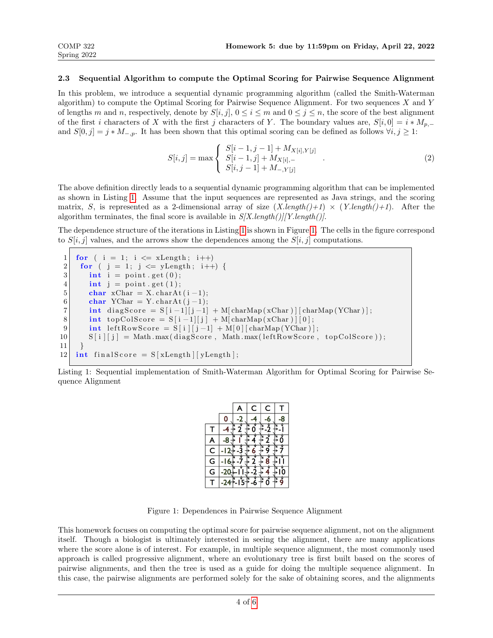#### <span id="page-3-2"></span>2.3 Sequential Algorithm to compute the Optimal Scoring for Pairwise Sequence Alignment

In this problem, we introduce a sequential dynamic programming algorithm (called the Smith-Waterman algorithm) to compute the Optimal Scoring for Pairwise Sequence Alignment. For two sequences X and Y of lengths m and n, respectively, denote by  $S[i, j]$ ,  $0 \le i \le m$  and  $0 \le j \le n$ , the score of the best alignment of the first i characters of X with the first j characters of Y. The boundary values are,  $S[i, 0] = i * M_{p,-}$ and  $S[0, j] = j * M_{-,p}$ . It has been shown that this optimal scoring can be defined as follows  $\forall i, j \geq 1$ :

$$
S[i,j] = \max \begin{cases} S[i-1,j-1] + M_{X[i],Y[j]} \\ S[i-1,j] + M_{X[i],-} \\ S[i,j-1] + M_{-,Y[j]} \end{cases} . \tag{2}
$$

The above definition directly leads to a sequential dynamic programming algorithm that can be implemented as shown in Listing [1.](#page-3-0) Assume that the input sequences are represented as Java strings, and the scoring matrix, S, is represented as a 2-dimensional array of size  $(X.length() + 1) \times (Y.length() + 1)$ . After the algorithm terminates, the final score is available in  $S/X.length()$ [Y.length()].

The dependence structure of the iterations in Listing [1](#page-3-0) is shown in Figure [1.](#page-3-1) The cells in the figure correspond to  $S[i, j]$  values, and the arrows show the dependences among the  $S[i, j]$  computations.

```
1 for ( i = 1; i \leq xLength; i++)
2 for ( j = 1; j \le yLength; i++) {<br>3 int i = point get (0);
       \mathbf{int} i = point . get (0);
4 int j = point .get (1);
5 char xChar = X. charAt (i-1);6 char YChar = Y. charAt (j-1);7 int diagScore = S[i-1][j-1] + M[charMap(xChar)][charMap(YChar)];
8 int topColScore = S[i-1][j] + M[charMap(xChar)][0];9 int leftRowScore = S[i][j-1] + M[0][charMap(YChar)];
10 S[i][j] = Math.max(diagScore, Math.max(leftRowScore, topColScore));
11 \}12 int final Score = S[ xLength | yLength ;
```
Listing 1: Sequential implementation of Smith-Waterman Algorithm for Optimal Scoring for Pairwise Sequence Alignment

|                         |   | C | C |  |
|-------------------------|---|---|---|--|
|                         | 0 |   |   |  |
|                         |   |   |   |  |
|                         |   |   |   |  |
| $\overline{\mathsf{C}}$ |   |   |   |  |
| G                       |   |   |   |  |
| G                       |   |   |   |  |
|                         |   |   |   |  |

<span id="page-3-1"></span>Figure 1: Dependences in Pairwise Sequence Alignment

This homework focuses on computing the optimal score for pairwise sequence alignment, not on the alignment itself. Though a biologist is ultimately interested in seeing the alignment, there are many applications where the score alone is of interest. For example, in multiple sequence alignment, the most commonly used approach is called progressive alignment, where an evolutionary tree is first built based on the scores of pairwise alignments, and then the tree is used as a guide for doing the multiple sequence alignment. In this case, the pairwise alignments are performed solely for the sake of obtaining scores, and the alignments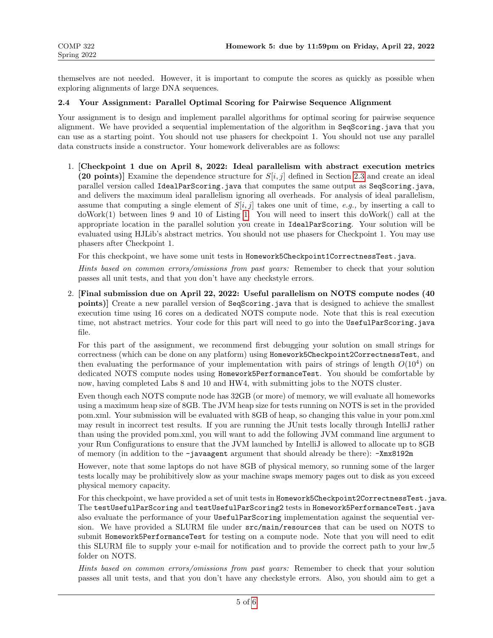themselves are not needed. However, it is important to compute the scores as quickly as possible when exploring alignments of large DNA sequences.

#### 2.4 Your Assignment: Parallel Optimal Scoring for Pairwise Sequence Alignment

Your assignment is to design and implement parallel algorithms for optimal scoring for pairwise sequence alignment. We have provided a sequential implementation of the algorithm in SeqScoring.java that you can use as a starting point. You should not use phasers for checkpoint 1. You should not use any parallel data constructs inside a constructor. Your homework deliverables are as follows:

1. [Checkpoint 1 due on April 8, 2022: Ideal parallelism with abstract execution metrics (20 points)] Examine the dependence structure for  $S[i, j]$  defined in Section [2.3](#page-3-2) and create an ideal parallel version called IdealParScoring.java that computes the same output as SeqScoring.java, and delivers the maximum ideal parallelism ignoring all overheads. For analysis of ideal parallelism, assume that computing a single element of  $S[i, j]$  takes one unit of time, e.g., by inserting a call to doWork(1) between lines 9 and 10 of Listing [1.](#page-3-0) You will need to insert this doWork() call at the appropriate location in the parallel solution you create in IdealParScoring. Your solution will be evaluated using HJLib's abstract metrics. You should not use phasers for Checkpoint 1. You may use phasers after Checkpoint 1.

For this checkpoint, we have some unit tests in Homework5Checkpoint1CorrectnessTest.java.

Hints based on common errors/omissions from past years: Remember to check that your solution passes all unit tests, and that you don't have any checkstyle errors.

2. [Final submission due on April 22, 2022: Useful parallelism on NOTS compute nodes (40 points)] Create a new parallel version of SeqScoring.java that is designed to achieve the smallest execution time using 16 cores on a dedicated NOTS compute node. Note that this is real execution time, not abstract metrics. Your code for this part will need to go into the UsefulParScoring.java file.

For this part of the assignment, we recommend first debugging your solution on small strings for correctness (which can be done on any platform) using Homework5Checkpoint2CorrectnessTest, and then evaluating the performance of your implementation with pairs of strings of length  $O(10^4)$  on dedicated NOTS compute nodes using Homework5PerformanceTest. You should be comfortable by now, having completed Labs 8 and 10 and HW4, with submitting jobs to the NOTS cluster.

Even though each NOTS compute node has 32GB (or more) of memory, we will evaluate all homeworks using a maximum heap size of 8GB. The JVM heap size for tests running on NOTS is set in the provided pom.xml. Your submission will be evaluated with 8GB of heap, so changing this value in your pom.xml may result in incorrect test results. If you are running the JUnit tests locally through IntelliJ rather than using the provided pom.xml, you will want to add the following JVM command line argument to your Run Configurations to ensure that the JVM launched by IntelliJ is allowed to allocate up to 8GB of memory (in addition to the -javaagent argument that should already be there): -Xmx8192m

However, note that some laptops do not have 8GB of physical memory, so running some of the larger tests locally may be prohibitively slow as your machine swaps memory pages out to disk as you exceed physical memory capacity.

For this checkpoint, we have provided a set of unit tests in Homework5Checkpoint2CorrectnessTest.java. The testUsefulParScoring and testUsefulParScoring2 tests in Homework5PerformanceTest.java also evaluate the performance of your UsefulParScoring implementation against the sequential version. We have provided a SLURM file under src/main/resources that can be used on NOTS to submit Homework5PerformanceTest for testing on a compute node. Note that you will need to edit this SLURM file to supply your e-mail for notification and to provide the correct path to your hw 5 folder on NOTS.

Hints based on common errors/omissions from past years: Remember to check that your solution passes all unit tests, and that you don't have any checkstyle errors. Also, you should aim to get a